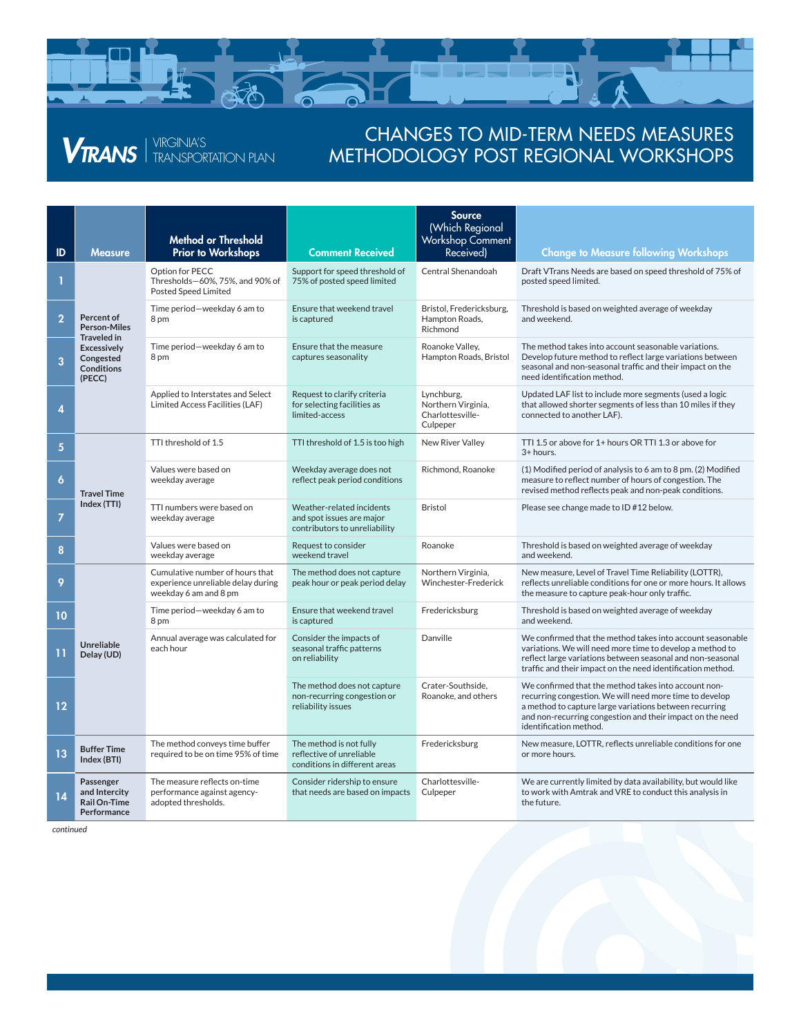

## *VTRANS* FRANSPORTATION PLAN

## CHANGES TO MID-TERM NEEDS MEASURES METHODOLOGY POST REGIONAL WORKSHOPS

| ID               | <b>Measure</b>                                                                                                            | <b>Method or Threshold</b><br><b>Prior to Workshops</b>                                        | <b>Comment Received</b>                                                                 | <b>Source</b><br>(Which Regional<br>Workshop Comment<br>Received) | <b>Change to Measure following Workshops</b>                                                                                                                                                                                                                     |
|------------------|---------------------------------------------------------------------------------------------------------------------------|------------------------------------------------------------------------------------------------|-----------------------------------------------------------------------------------------|-------------------------------------------------------------------|------------------------------------------------------------------------------------------------------------------------------------------------------------------------------------------------------------------------------------------------------------------|
|                  | Percent of<br><b>Person-Miles</b><br><b>Traveled in</b><br><b>Excessively</b><br>Congested<br><b>Conditions</b><br>(PECC) | Option for PECC<br>Thresholds-60%, 75%, and 90% of<br><b>Posted Speed Limited</b>              | Support for speed threshold of<br>75% of posted speed limited                           | Central Shenandoah                                                | Draft VTrans Needs are based on speed threshold of 75% of<br>posted speed limited.                                                                                                                                                                               |
| $\overline{2}$   |                                                                                                                           | Time period-weekday 6 am to<br>8 pm                                                            | Ensure that weekend travel<br>is captured                                               | Bristol, Fredericksburg,<br>Hampton Roads,<br>Richmond            | Threshold is based on weighted average of weekday<br>and weekend.                                                                                                                                                                                                |
| 3                |                                                                                                                           | Time period-weekday 6 am to<br>8 <sub>pm</sub>                                                 | Ensure that the measure<br>captures seasonality                                         | Roanoke Valley.<br>Hampton Roads, Bristol                         | The method takes into account seasonable variations.<br>Develop future method to reflect large variations between<br>seasonal and non-seasonal traffic and their impact on the<br>need identification method.                                                    |
| 4                |                                                                                                                           | Applied to Interstates and Select<br>Limited Access Facilities (LAF)                           | Request to clarify criteria<br>for selecting facilities as<br>limited-access            | Lynchburg,<br>Northern Virginia,<br>Charlottesville-<br>Culpeper  | Updated LAF list to include more segments (used a logic<br>that allowed shorter segments of less than 10 miles if they<br>connected to another LAF).                                                                                                             |
| 5                | <b>Travel Time</b><br>Index (TTI)                                                                                         | TTI threshold of 1.5                                                                           | TTI threshold of 1.5 is too high                                                        | <b>New River Valley</b>                                           | TTI 1.5 or above for 1+ hours OR TTI 1.3 or above for<br>3+ hours.                                                                                                                                                                                               |
| $\boldsymbol{6}$ |                                                                                                                           | Values were based on<br>weekday average                                                        | Weekday average does not<br>reflect peak period conditions                              | Richmond, Roanoke                                                 | (1) Modified period of analysis to 6 am to 8 pm. (2) Modified<br>measure to reflect number of hours of congestion. The<br>revised method reflects peak and non-peak conditions.                                                                                  |
| $\overline{7}$   |                                                                                                                           | TTI numbers were based on<br>weekday average                                                   | Weather-related incidents<br>and spot issues are major<br>contributors to unreliability | <b>Bristol</b>                                                    | Please see change made to ID #12 below.                                                                                                                                                                                                                          |
| 8                |                                                                                                                           | Values were based on<br>weekday average                                                        | Request to consider<br>weekend travel                                                   | Roanoke                                                           | Threshold is based on weighted average of weekday<br>and weekend.                                                                                                                                                                                                |
| 9                | <b>Unreliable</b><br>Delay (UD)                                                                                           | Cumulative number of hours that<br>experience unreliable delay during<br>weekday 6 am and 8 pm | The method does not capture<br>peak hour or peak period delay                           | Northern Virginia,<br>Winchester-Frederick                        | New measure, Level of Travel Time Reliability (LOTTR),<br>reflects unreliable conditions for one or more hours. It allows<br>the measure to capture peak-hour only traffic.                                                                                      |
| 10               |                                                                                                                           | Time period-weekday 6 am to<br>8 pm                                                            | Ensure that weekend travel<br>is captured                                               | Fredericksburg                                                    | Threshold is based on weighted average of weekday<br>and weekend.                                                                                                                                                                                                |
| 11               |                                                                                                                           | Annual average was calculated for<br>each hour                                                 | Consider the impacts of<br>seasonal traffic patterns<br>on reliability                  | Danville                                                          | We confirmed that the method takes into account seasonable<br>variations. We will need more time to develop a method to<br>reflect large variations between seasonal and non-seasonal<br>traffic and their impact on the need identification method.             |
| $12 \$           |                                                                                                                           |                                                                                                | The method does not capture<br>non-recurring congestion or<br>reliability issues        | Crater-Southside.<br>Roanoke, and others                          | We confirmed that the method takes into account non-<br>recurring congestion. We will need more time to develop<br>a method to capture large variations between recurring<br>and non-recurring congestion and their impact on the need<br>identification method. |
| 13               | <b>Buffer Time</b><br>Index (BTI)                                                                                         | The method conveys time buffer<br>required to be on time 95% of time                           | The method is not fully<br>reflective of unreliable<br>conditions in different areas    | Fredericksburg                                                    | New measure, LOTTR, reflects unreliable conditions for one<br>or more hours.                                                                                                                                                                                     |
| 14               | Passenger<br>and Intercity<br>Rail On-Time<br>Performance                                                                 | The measure reflects on-time<br>performance against agency-<br>adopted thresholds.             | Consider ridership to ensure<br>that needs are based on impacts                         | Charlottesville-<br>Culpeper                                      | We are currently limited by data availability, but would like<br>to work with Amtrak and VRE to conduct this analysis in<br>the future.                                                                                                                          |

*continued*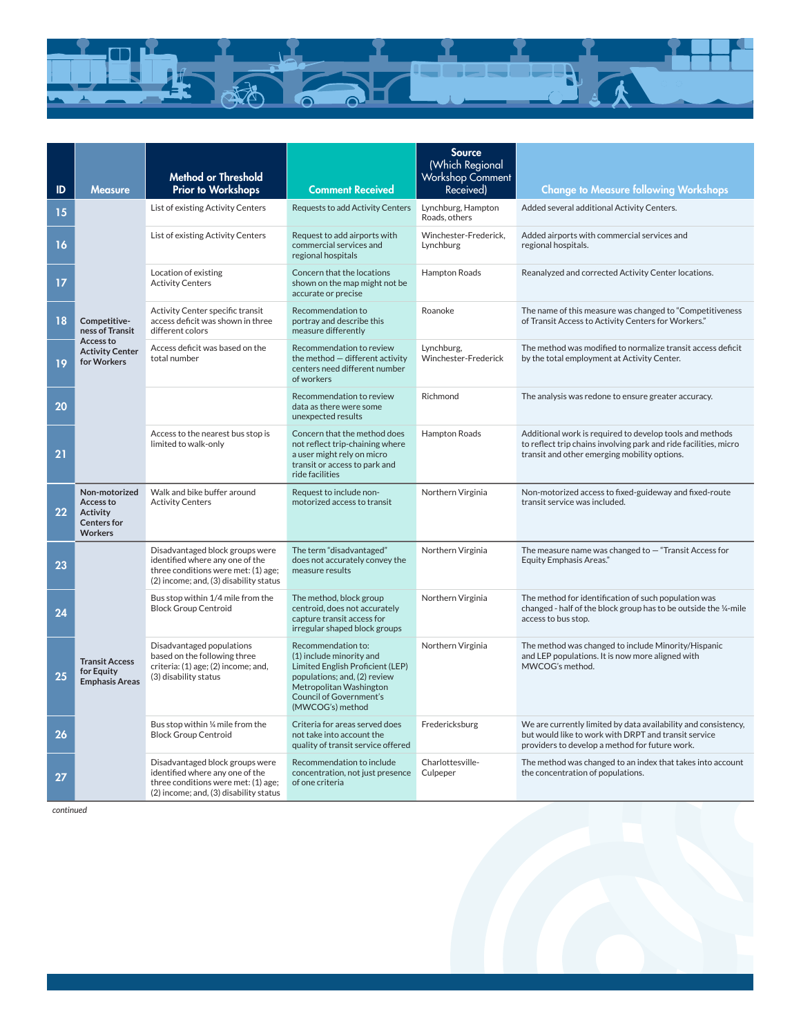

| ID | <b>Measure</b>                                                                        | <b>Method or Threshold</b><br><b>Prior to Workshops</b>                                                                                             | <b>Comment Received</b>                                                                                                                                                                             | <b>Source</b><br>(Which Regional<br>Workshop Comment<br>Received) | <b>Change to Measure following Workshops</b>                                                                                                                                 |
|----|---------------------------------------------------------------------------------------|-----------------------------------------------------------------------------------------------------------------------------------------------------|-----------------------------------------------------------------------------------------------------------------------------------------------------------------------------------------------------|-------------------------------------------------------------------|------------------------------------------------------------------------------------------------------------------------------------------------------------------------------|
| 15 | Competitive-<br>ness of Transit<br>Access to<br><b>Activity Center</b><br>for Workers | List of existing Activity Centers                                                                                                                   | <b>Requests to add Activity Centers</b>                                                                                                                                                             | Lynchburg, Hampton<br>Roads, others                               | Added several additional Activity Centers.                                                                                                                                   |
| 16 |                                                                                       | List of existing Activity Centers                                                                                                                   | Request to add airports with<br>commercial services and<br>regional hospitals                                                                                                                       | Winchester-Frederick,<br>Lynchburg                                | Added airports with commercial services and<br>regional hospitals.                                                                                                           |
| 17 |                                                                                       | Location of existing<br><b>Activity Centers</b>                                                                                                     | Concern that the locations<br>shown on the map might not be<br>accurate or precise                                                                                                                  | Hampton Roads                                                     | Reanalyzed and corrected Activity Center locations.                                                                                                                          |
| 18 |                                                                                       | Activity Center specific transit<br>access deficit was shown in three<br>different colors                                                           | Recommendation to<br>portray and describe this<br>measure differently                                                                                                                               | Roanoke                                                           | The name of this measure was changed to "Competitiveness<br>of Transit Access to Activity Centers for Workers."                                                              |
| 19 |                                                                                       | Access deficit was based on the<br>total number                                                                                                     | Recommendation to review<br>the method - different activity<br>centers need different number<br>of workers                                                                                          | Lynchburg,<br>Winchester-Frederick                                | The method was modified to normalize transit access deficit<br>by the total employment at Activity Center.                                                                   |
| 20 |                                                                                       |                                                                                                                                                     | Recommendation to review<br>data as there were some<br>unexpected results                                                                                                                           | Richmond                                                          | The analysis was redone to ensure greater accuracy.                                                                                                                          |
| 21 |                                                                                       | Access to the nearest bus stop is<br>limited to walk-only                                                                                           | Concern that the method does<br>not reflect trip-chaining where<br>a user might rely on micro<br>transit or access to park and<br>ride facilities                                                   | Hampton Roads                                                     | Additional work is required to develop tools and methods<br>to reflect trip chains involving park and ride facilities, micro<br>transit and other emerging mobility options. |
| 22 | Non-motorized<br>Access to<br><b>Activity</b><br><b>Centers for</b><br><b>Workers</b> | Walk and bike buffer around<br><b>Activity Centers</b>                                                                                              | Request to include non-<br>motorized access to transit                                                                                                                                              | Northern Virginia                                                 | Non-motorized access to fixed-guideway and fixed-route<br>transit service was included.                                                                                      |
| 23 | <b>Transit Access</b><br>for Equity<br><b>Emphasis Areas</b>                          | Disadvantaged block groups were<br>identified where any one of the<br>three conditions were met: (1) age;<br>(2) income; and, (3) disability status | The term "disadvantaged"<br>does not accurately convey the<br>measure results                                                                                                                       | Northern Virginia                                                 | The measure name was changed to $-$ "Transit Access for<br><b>Equity Emphasis Areas."</b>                                                                                    |
| 24 |                                                                                       | Bus stop within 1/4 mile from the<br><b>Block Group Centroid</b>                                                                                    | The method, block group<br>centroid, does not accurately<br>capture transit access for<br>irregular shaped block groups                                                                             | Northern Virginia                                                 | The method for identification of such population was<br>changed - half of the block group has to be outside the 1/4-mile<br>access to bus stop.                              |
| 25 |                                                                                       | Disadvantaged populations<br>based on the following three<br>criteria: (1) age; (2) income; and,<br>(3) disability status                           | Recommendation to:<br>(1) include minority and<br>Limited English Proficient (LEP)<br>populations; and, (2) review<br>Metropolitan Washington<br><b>Council of Government's</b><br>(MWCOG's) method | Northern Virginia                                                 | The method was changed to include Minority/Hispanic<br>and LEP populations. It is now more aligned with<br>MWCOG's method.                                                   |
| 26 |                                                                                       | Bus stop within 1/4 mile from the<br><b>Block Group Centroid</b>                                                                                    | Criteria for areas served does<br>not take into account the<br>quality of transit service offered                                                                                                   | Fredericksburg                                                    | We are currently limited by data availability and consistency,<br>but would like to work with DRPT and transit service<br>providers to develop a method for future work.     |
| 27 |                                                                                       | Disadvantaged block groups were<br>identified where any one of the<br>three conditions were met: (1) age;<br>(2) income; and, (3) disability status | Recommendation to include<br>concentration, not just presence<br>of one criteria                                                                                                                    | Charlottesville-<br>Culpeper                                      | The method was changed to an index that takes into account<br>the concentration of populations.                                                                              |

*continued*